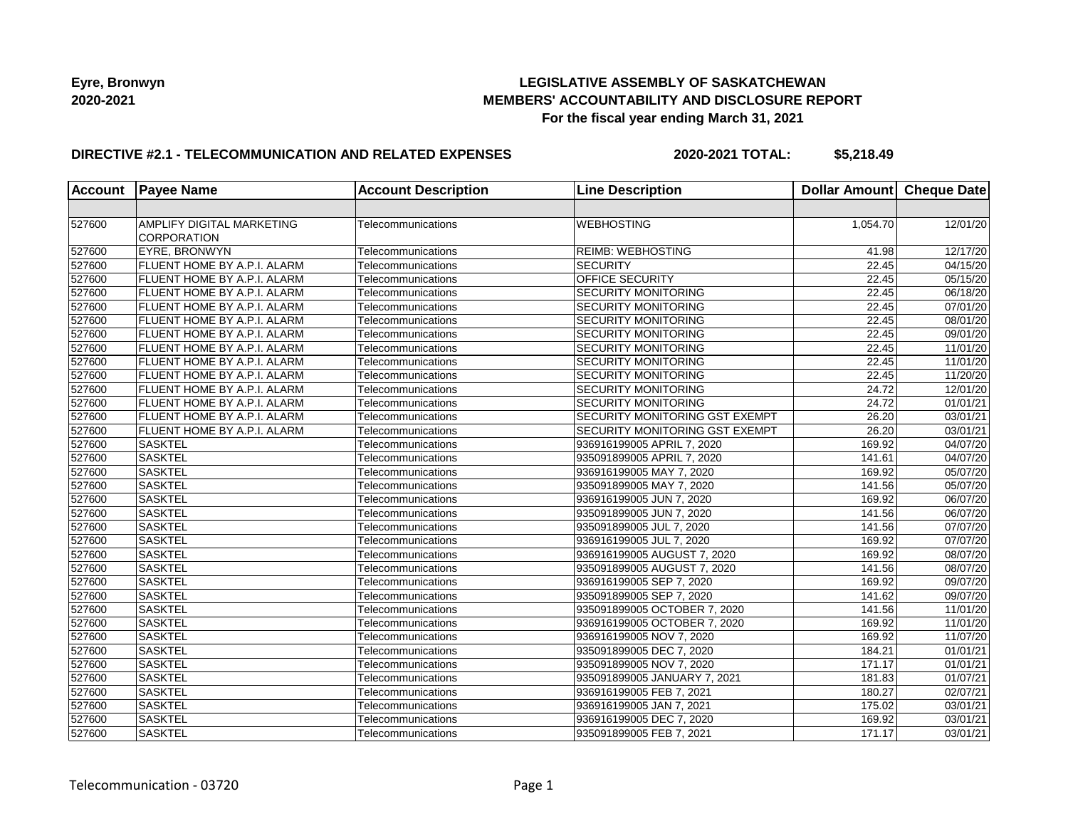## **LEGISLATIVE ASSEMBLY OF SASKATCHEWAN MEMBERS' ACCOUNTABILITY AND DISCLOSURE REPORT For the fiscal year ending March 31, 2021**

### **DIRECTIVE #2.1 - TELECOMMUNICATION AND RELATED EXPENSES**

| <b>Account</b> | <b>Payee Name</b>                  | <b>Account Description</b> | <b>Line Description</b>               | Dollar Amount Cheque Date |                       |
|----------------|------------------------------------|----------------------------|---------------------------------------|---------------------------|-----------------------|
|                |                                    |                            |                                       |                           |                       |
| 527600         | AMPLIFY DIGITAL MARKETING          | Telecommunications         | <b>WEBHOSTING</b>                     | 1,054.70                  | 12/01/20              |
|                | CORPORATION                        |                            |                                       |                           |                       |
| 527600         | EYRE, BRONWYN                      | Telecommunications         | <b>REIMB: WEBHOSTING</b>              | 41.98                     | 12/17/20              |
| 527600         | <b>FLUENT HOME BY A.P.I. ALARM</b> | Telecommunications         | SECURITY                              | 22.45                     | 04/15/20              |
| 527600         | <b>FLUENT HOME BY A.P.I. ALARM</b> | Telecommunications         | OFFICE SECURITY                       | 22.45                     | 05/15/20              |
| 527600         | FLUENT HOME BY A.P.I. ALARM        | Telecommunications         | <b>SECURITY MONITORING</b>            | 22.45                     | 06/18/20              |
| 527600         | FLUENT HOME BY A.P.I. ALARM        | Telecommunications         | <b>SECURITY MONITORING</b>            | 22.45                     | 07/01/20              |
| 527600         | <b>FLUENT HOME BY A.P.I. ALARM</b> | Telecommunications         | <b>SECURITY MONITORING</b>            | 22.45                     | 08/01/20              |
| 527600         | FLUENT HOME BY A.P.I. ALARM        | Telecommunications         | <b>SECURITY MONITORING</b>            | 22.45                     | 09/01/20              |
| 527600         | FLUENT HOME BY A.P.I. ALARM        | Telecommunications         | <b>SECURITY MONITORING</b>            | 22.45                     | 11/01/20              |
| 527600         | <b>FLUENT HOME BY A.P.I. ALARM</b> | Telecommunications         | <b>SECURITY MONITORING</b>            | 22.45                     | 11/01/20              |
| 527600         | FLUENT HOME BY A.P.I. ALARM        | Telecommunications         | <b>SECURITY MONITORING</b>            | 22.45                     | 11/20/20              |
| 527600         | FLUENT HOME BY A.P.I. ALARM        | Telecommunications         | <b>SECURITY MONITORING</b>            | 24.72                     | 12/01/20              |
| 527600         | FLUENT HOME BY A.P.I. ALARM        | Telecommunications         | <b>SECURITY MONITORING</b>            | 24.72                     | 01/01/21              |
| 527600         | FLUENT HOME BY A.P.I. ALARM        | Telecommunications         | SECURITY MONITORING GST EXEMPT        | 26.20                     | 03/01/21              |
| 527600         | FLUENT HOME BY A.P.I. ALARM        | Telecommunications         | <b>SECURITY MONITORING GST EXEMPT</b> | 26.20                     | 03/01/21              |
| 527600         | <b>SASKTEL</b>                     | Telecommunications         | 936916199005 APRIL 7, 2020            | 169.92                    | 04/07/20              |
| 527600         | <b>SASKTEL</b>                     | Telecommunications         | 935091899005 APRIL 7, 2020            | 141.61                    | $\overline{04/07/20}$ |
| 527600         | <b>SASKTEL</b>                     | Telecommunications         | 936916199005 MAY 7, 2020              | 169.92                    | 05/07/20              |
| 527600         | <b>SASKTEL</b>                     | Telecommunications         | 935091899005 MAY 7, 2020              | 141.56                    | 05/07/20              |
| 527600         | <b>SASKTEL</b>                     | Telecommunications         | 936916199005 JUN 7, 2020              | 169.92                    | 06/07/20              |
| 527600         | <b>SASKTEL</b>                     | Telecommunications         | 935091899005 JUN 7, 2020              | 141.56                    | 06/07/20              |
| 527600         | <b>SASKTEL</b>                     | Telecommunications         | 935091899005 JUL 7, 2020              | 141.56                    | 07/07/20              |
| 527600         | <b>SASKTEL</b>                     | Telecommunications         | 936916199005 JUL 7, 2020              | 169.92                    | 07/07/20              |
| 527600         | <b>SASKTEL</b>                     | Telecommunications         | 936916199005 AUGUST 7, 2020           | 169.92                    | 08/07/20              |
| 527600         | <b>SASKTEL</b>                     | Telecommunications         | 935091899005 AUGUST 7, 2020           | 141.56                    | 08/07/20              |
| 527600         | <b>SASKTEL</b>                     | Telecommunications         | 936916199005 SEP 7, 2020              | 169.92                    | 09/07/20              |
| 527600         | <b>SASKTEL</b>                     | Telecommunications         | 935091899005 SEP 7, 2020              | 141.62                    | 09/07/20              |
| 527600         | <b>SASKTEL</b>                     | Telecommunications         | 935091899005 OCTOBER 7, 2020          | 141.56                    | 11/01/20              |
| 527600         | <b>SASKTEL</b>                     | Telecommunications         | 936916199005 OCTOBER 7, 2020          | 169.92                    | 11/01/20              |
| 527600         | <b>SASKTEL</b>                     | Telecommunications         | 936916199005 NOV 7, 2020              | 169.92                    | 11/07/20              |
| 527600         | <b>SASKTEL</b>                     | Telecommunications         | 935091899005 DEC 7, 2020              | 184.21                    | 01/01/21              |
| 527600         | <b>SASKTEL</b>                     | Telecommunications         | 935091899005 NOV 7, 2020              | 171.17                    | 01/01/21              |
| 527600         | <b>SASKTEL</b>                     | Telecommunications         | 935091899005 JANUARY 7, 2021          | 181.83                    | 01/07/21              |
| 527600         | <b>SASKTEL</b>                     | Telecommunications         | 936916199005 FEB 7, 2021              | 180.27                    | 02/07/21              |
| 527600         | <b>SASKTEL</b>                     | Telecommunications         | 936916199005 JAN 7, 2021              | 175.02                    | 03/01/21              |
| 527600         | <b>SASKTEL</b>                     | Telecommunications         | 936916199005 DEC 7, 2020              | 169.92                    | 03/01/21              |
| 527600         | <b>SASKTEL</b>                     | Telecommunications         | 935091899005 FEB 7, 2021              | 171.17                    | 03/01/21              |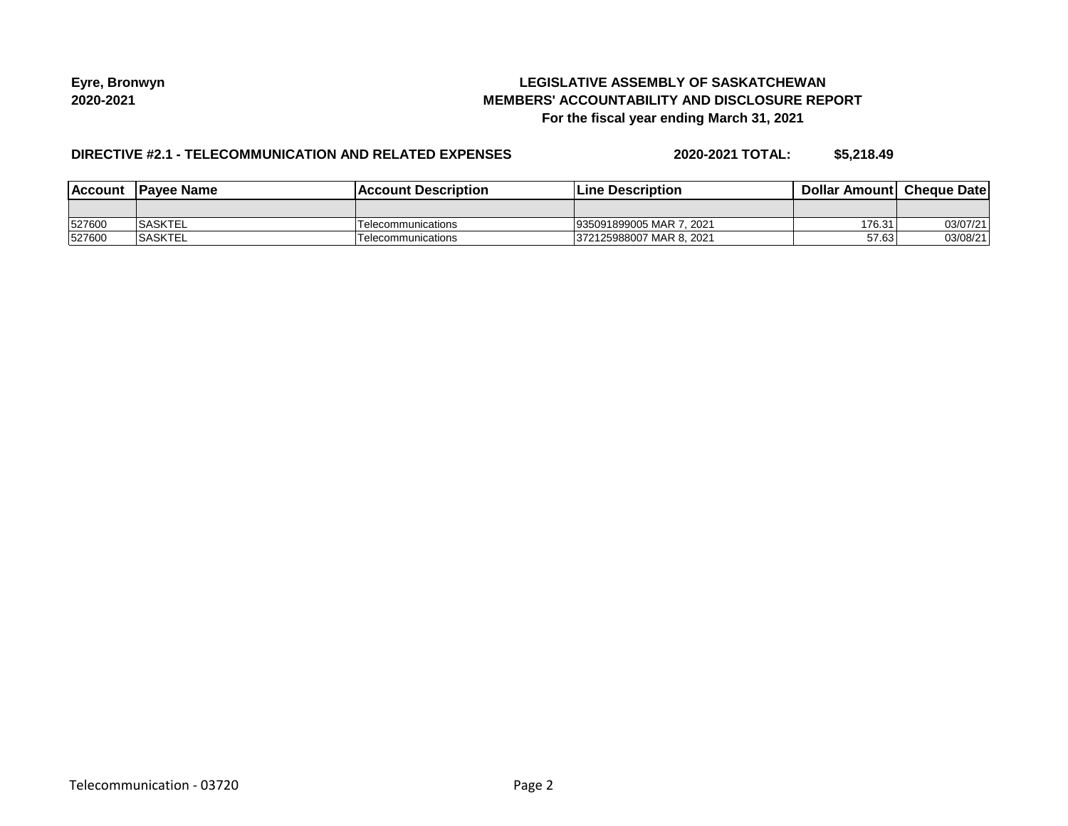## **LEGISLATIVE ASSEMBLY OF SASKATCHEWAN MEMBERS' ACCOUNTABILITY AND DISCLOSURE REPORT For the fiscal year ending March 31, 2021**

## **DIRECTIVE #2.1 - TELECOMMUNICATION AND RELATED EXPENSES**

| <b>Account</b> | <b>IPavee Name</b> | <b>Account Description</b> | <b>Line Description</b>  | <b>Dollar Amountl Cheque Date</b> |          |
|----------------|--------------------|----------------------------|--------------------------|-----------------------------------|----------|
|                |                    |                            |                          |                                   |          |
| 527600         | <b>SASKTEL</b>     | Telecommunications         | 935091899005 MAR 7, 2021 | 176.31                            | 03/07/21 |
| 527600         | <b>SASKTEL</b>     | Telecommunications         | 372125988007 MAR 8, 2021 | 57.63                             | 03/08/21 |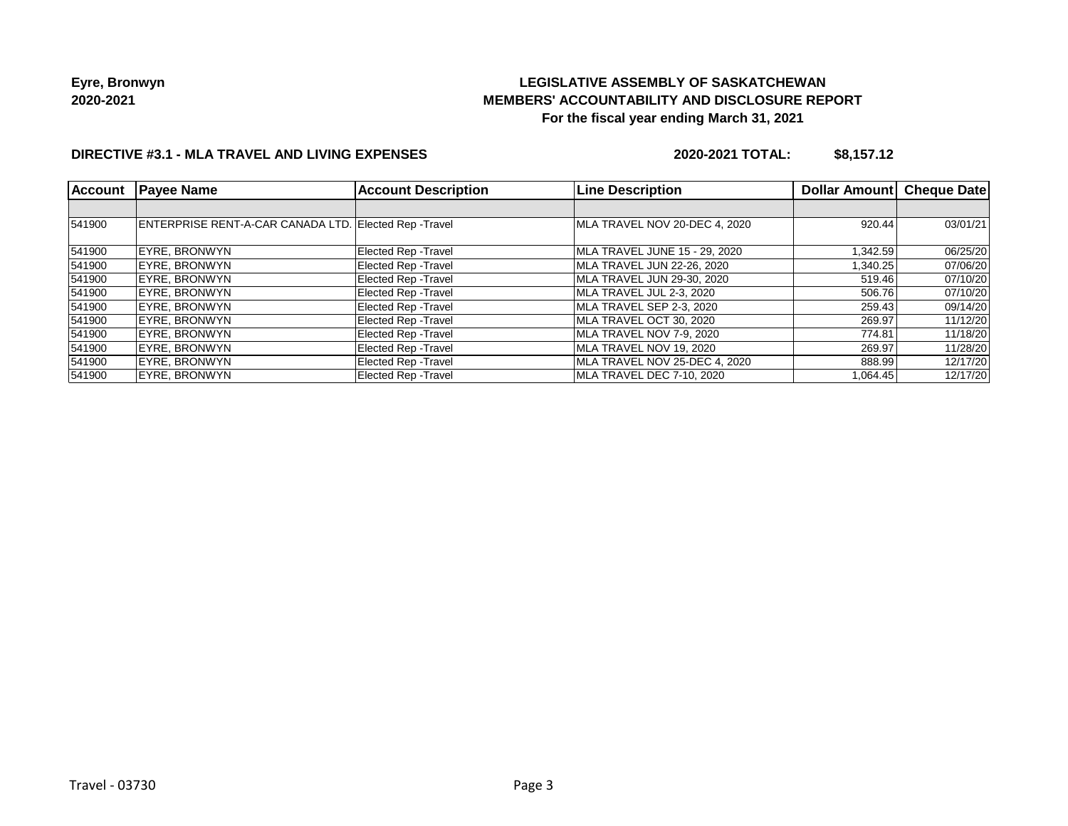# **LEGISLATIVE ASSEMBLY OF SASKATCHEWAN MEMBERS' ACCOUNTABILITY AND DISCLOSURE REPORT For the fiscal year ending March 31, 2021**

## **DIRECTIVE #3.1 - MLA TRAVEL AND LIVING EXPENSES**

**2020-2021 TOTAL: \$8,157.12**

| <b>Account</b> | <b>Payee Name</b>                                     | <b>Account Description</b>  | <b>Line Description</b>       | Dollar Amount | <b>Cheque Date</b> |
|----------------|-------------------------------------------------------|-----------------------------|-------------------------------|---------------|--------------------|
|                |                                                       |                             |                               |               |                    |
| 541900         | ENTERPRISE RENT-A-CAR CANADA LTD. Elected Rep -Travel |                             | MLA TRAVEL NOV 20-DEC 4, 2020 | 920.44        | 03/01/21           |
| 541900         | <b>EYRE, BRONWYN</b>                                  | Elected Rep - Travel        | MLA TRAVEL JUNE 15 - 29, 2020 | 1,342.59      | 06/25/20           |
| 541900         | EYRE. BRONWYN                                         | Elected Rep - Travel        | MLA TRAVEL JUN 22-26, 2020    | 1,340.25      | 07/06/20           |
| 541900         | <b>EYRE, BRONWYN</b>                                  | <b>Elected Rep - Travel</b> | MLA TRAVEL JUN 29-30, 2020    | 519.46        | 07/10/20           |
| 541900         | <b>EYRE, BRONWYN</b>                                  | Elected Rep - Travel        | MLA TRAVEL JUL 2-3, 2020      | 506.76        | 07/10/20           |
| 541900         | <b>EYRE, BRONWYN</b>                                  | <b>Elected Rep - Travel</b> | MLA TRAVEL SEP 2-3, 2020      | 259.43        | 09/14/20           |
| 541900         | <b>EYRE, BRONWYN</b>                                  | Elected Rep - Travel        | MLA TRAVEL OCT 30, 2020       | 269.97        | 11/12/20           |
| 541900         | EYRE. BRONWYN                                         | <b>Elected Rep - Travel</b> | MLA TRAVEL NOV 7-9, 2020      | 774.81        | 11/18/20           |
| 541900         | EYRE. BRONWYN                                         | Elected Rep - Travel        | MLA TRAVEL NOV 19, 2020       | 269.97        | 11/28/20           |
| 541900         | EYRE. BRONWYN                                         | Elected Rep - Travel        | MLA TRAVEL NOV 25-DEC 4. 2020 | 888.99        | 12/17/20           |
| 541900         | EYRE. BRONWYN                                         | Elected Rep - Travel        | MLA TRAVEL DEC 7-10. 2020     | 1,064.45      | 12/17/20           |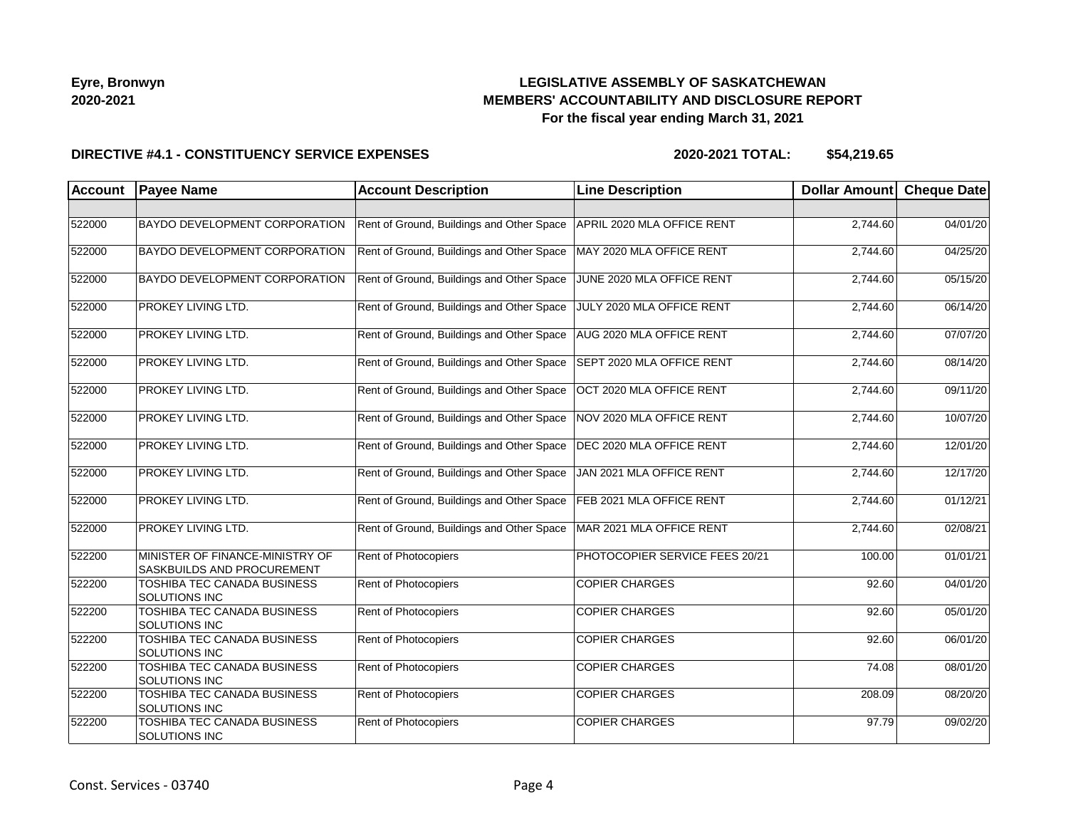# **LEGISLATIVE ASSEMBLY OF SASKATCHEWAN MEMBERS' ACCOUNTABILITY AND DISCLOSURE REPORT For the fiscal year ending March 31, 2021**

#### **DIRECTIVE #4.1 - CONSTITUENCY SERVICE EXPENSES**

| <b>Account</b> | <b>Payee Name</b>                                             | <b>Account Description</b>                | <b>Line Description</b>        | Dollar Amount | <b>Cheque Date</b> |
|----------------|---------------------------------------------------------------|-------------------------------------------|--------------------------------|---------------|--------------------|
|                |                                                               |                                           |                                |               |                    |
| 522000         | <b>BAYDO DEVELOPMENT CORPORATION</b>                          | Rent of Ground, Buildings and Other Space | APRIL 2020 MLA OFFICE RENT     | 2,744.60      | 04/01/20           |
| 522000         | <b>BAYDO DEVELOPMENT CORPORATION</b>                          | Rent of Ground, Buildings and Other Space | MAY 2020 MLA OFFICE RENT       | 2.744.60      | 04/25/20           |
| 522000         | <b>BAYDO DEVELOPMENT CORPORATION</b>                          | Rent of Ground, Buildings and Other Space | JUNE 2020 MLA OFFICE RENT      | 2,744.60      | 05/15/20           |
| 522000         | PROKEY LIVING LTD.                                            | Rent of Ground, Buildings and Other Space | JULY 2020 MLA OFFICE RENT      | 2,744.60      | 06/14/20           |
| 522000         | PROKEY LIVING LTD.                                            | Rent of Ground, Buildings and Other Space | AUG 2020 MLA OFFICE RENT       | 2,744.60      | 07/07/20           |
| 522000         | PROKEY LIVING LTD.                                            | Rent of Ground, Buildings and Other Space | SEPT 2020 MLA OFFICE RENT      | 2,744.60      | 08/14/20           |
| 522000         | <b>PROKEY LIVING LTD.</b>                                     | Rent of Ground, Buildings and Other Space | OCT 2020 MLA OFFICE RENT       | 2,744.60      | 09/11/20           |
| 522000         | PROKEY LIVING LTD.                                            | Rent of Ground, Buildings and Other Space | NOV 2020 MLA OFFICE RENT       | 2,744.60      | 10/07/20           |
| 522000         | PROKEY LIVING LTD.                                            | Rent of Ground, Buildings and Other Space | DEC 2020 MLA OFFICE RENT       | 2,744.60      | 12/01/20           |
| 522000         | PROKEY LIVING LTD.                                            | Rent of Ground, Buildings and Other Space | JAN 2021 MLA OFFICE RENT       | 2,744.60      | 12/17/20           |
| 522000         | <b>PROKEY LIVING LTD.</b>                                     | Rent of Ground, Buildings and Other Space | FEB 2021 MLA OFFICE RENT       | 2,744.60      | 01/12/21           |
| 522000         | PROKEY LIVING LTD.                                            | Rent of Ground, Buildings and Other Space | MAR 2021 MLA OFFICE RENT       | 2,744.60      | 02/08/21           |
| 522200         | MINISTER OF FINANCE-MINISTRY OF<br>SASKBUILDS AND PROCUREMENT | <b>Rent of Photocopiers</b>               | PHOTOCOPIER SERVICE FEES 20/21 | 100.00        | 01/01/21           |
| 522200         | TOSHIBA TEC CANADA BUSINESS<br>SOLUTIONS INC                  | Rent of Photocopiers                      | <b>COPIER CHARGES</b>          | 92.60         | 04/01/20           |
| 522200         | TOSHIBA TEC CANADA BUSINESS<br>SOLUTIONS INC                  | Rent of Photocopiers                      | <b>COPIER CHARGES</b>          | 92.60         | 05/01/20           |
| 522200         | TOSHIBA TEC CANADA BUSINESS<br><b>SOLUTIONS INC</b>           | Rent of Photocopiers                      | <b>COPIER CHARGES</b>          | 92.60         | 06/01/20           |
| 522200         | TOSHIBA TEC CANADA BUSINESS<br><b>SOLUTIONS INC</b>           | <b>Rent of Photocopiers</b>               | <b>COPIER CHARGES</b>          | 74.08         | 08/01/20           |
| 522200         | TOSHIBA TEC CANADA BUSINESS<br><b>SOLUTIONS INC</b>           | Rent of Photocopiers                      | <b>COPIER CHARGES</b>          | 208.09        | 08/20/20           |
| 522200         | <b>TOSHIBA TEC CANADA BUSINESS</b><br><b>SOLUTIONS INC</b>    | Rent of Photocopiers                      | <b>COPIER CHARGES</b>          | 97.79         | 09/02/20           |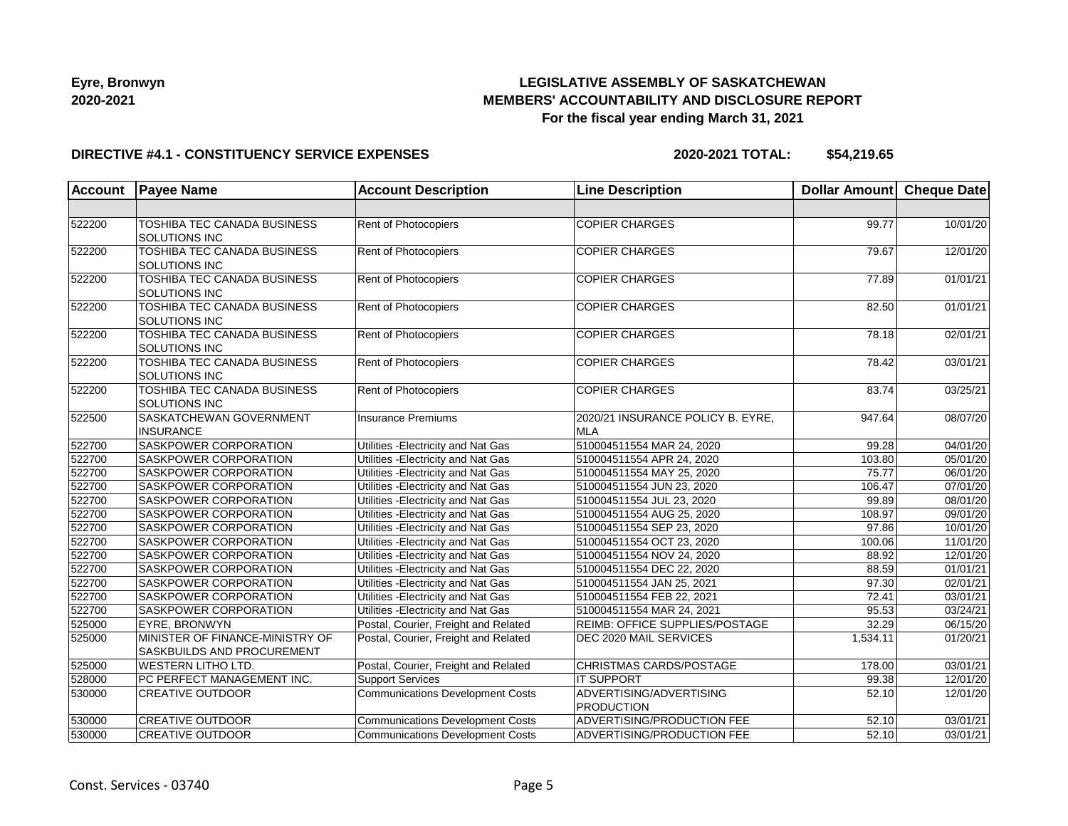## **LEGISLATIVE ASSEMBLY OF SASKATCHEWAN MEMBERS' ACCOUNTABILITY AND DISCLOSURE REPORT For the fiscal year ending March 31, 2021**

#### **DIRECTIVE #4.1 - CONSTITUENCY SERVICE EXPENSES**

| <b>Account</b>  | <b>Payee Name</b>                                   | <b>Account Description</b>              | <b>Line Description</b>                         | Dollar Amount | <b>Cheque Date</b> |
|-----------------|-----------------------------------------------------|-----------------------------------------|-------------------------------------------------|---------------|--------------------|
|                 |                                                     |                                         |                                                 |               |                    |
| 522200          | TOSHIBA TEC CANADA BUSINESS<br>SOLUTIONS INC        | Rent of Photocopiers                    | <b>COPIER CHARGES</b>                           | 99.77         | 10/01/20           |
| 522200          | TOSHIBA TEC CANADA BUSINESS<br><b>SOLUTIONS INC</b> | Rent of Photocopiers                    | <b>COPIER CHARGES</b>                           | 79.67         | 12/01/20           |
| 522200          | <b>TOSHIBA TEC CANADA BUSINESS</b><br>SOLUTIONS INC | Rent of Photocopiers                    | <b>COPIER CHARGES</b>                           | 77.89         | 01/01/21           |
| 522200          | <b>TOSHIBA TEC CANADA BUSINESS</b><br>SOLUTIONS INC | Rent of Photocopiers                    | <b>COPIER CHARGES</b>                           | 82.50         | 01/01/21           |
| 522200          | TOSHIBA TEC CANADA BUSINESS<br><b>SOLUTIONS INC</b> | Rent of Photocopiers                    | <b>COPIER CHARGES</b>                           | 78.18         | 02/01/21           |
| 522200          | TOSHIBA TEC CANADA BUSINESS<br>SOLUTIONS INC        | Rent of Photocopiers                    | <b>COPIER CHARGES</b>                           | 78.42         | 03/01/21           |
| $\sqrt{522200}$ | TOSHIBA TEC CANADA BUSINESS<br>SOLUTIONS INC        | Rent of Photocopiers                    | <b>COPIER CHARGES</b>                           | 83.74         | 03/25/21           |
| 522500          | SASKATCHEWAN GOVERNMENT<br><b>INSURANCE</b>         | <b>Insurance Premiums</b>               | 2020/21 INSURANCE POLICY B. EYRE,<br><b>MLA</b> | 947.64        | 08/07/20           |
| 522700          | SASKPOWER CORPORATION                               | Utilities - Electricity and Nat Gas     | 510004511554 MAR 24, 2020                       | 99.28         | 04/01/20           |
| 522700          | SASKPOWER CORPORATION                               | Utilities - Electricity and Nat Gas     | 510004511554 APR 24, 2020                       | 103.80        | 05/01/20           |
| 522700          | SASKPOWER CORPORATION                               | Utilities - Electricity and Nat Gas     | 510004511554 MAY 25, 2020                       | 75.77         | 06/01/20           |
| 522700          | SASKPOWER CORPORATION                               | Utilities - Electricity and Nat Gas     | 510004511554 JUN 23, 2020                       | 106.47        | 07/01/20           |
| 522700          | SASKPOWER CORPORATION                               | Utilities - Electricity and Nat Gas     | 510004511554 JUL 23, 2020                       | 99.89         | 08/01/20           |
| 522700          | <b>SASKPOWER CORPORATION</b>                        | Utilities - Electricity and Nat Gas     | 510004511554 AUG 25, 2020                       | 108.97        | 09/01/20           |
| 522700          | SASKPOWER CORPORATION                               | Utilities - Electricity and Nat Gas     | 510004511554 SEP 23, 2020                       | 97.86         | 10/01/20           |
| 522700          | SASKPOWER CORPORATION                               | Utilities - Electricity and Nat Gas     | 510004511554 OCT 23, 2020                       | 100.06        | 11/01/20           |
| 522700          | SASKPOWER CORPORATION                               | Utilities - Electricity and Nat Gas     | 510004511554 NOV 24, 2020                       | 88.92         | 12/01/20           |
| 522700          | SASKPOWER CORPORATION                               | Utilities - Electricity and Nat Gas     | 510004511554 DEC 22, 2020                       | 88.59         | 01/01/21           |
| 522700          | <b>SASKPOWER CORPORATION</b>                        | Utilities - Electricity and Nat Gas     | 510004511554 JAN 25, 2021                       | 97.30         | 02/01/21           |
| 522700          | <b>SASKPOWER CORPORATION</b>                        | Utilities - Electricity and Nat Gas     | 510004511554 FEB 22, 2021                       | 72.41         | 03/01/21           |
| 522700          | SASKPOWER CORPORATION                               | Utilities - Electricity and Nat Gas     | 510004511554 MAR 24, 2021                       | 95.53         | 03/24/21           |
| 525000          | <b>EYRE, BRONWYN</b>                                | Postal, Courier, Freight and Related    | <b>REIMB: OFFICE SUPPLIES/POSTAGE</b>           | 32.29         | 06/15/20           |
| 525000          | MINISTER OF FINANCE-MINISTRY OF                     | Postal, Courier, Freight and Related    | DEC 2020 MAIL SERVICES                          | 1,534.11      | 01/20/21           |
|                 | SASKBUILDS AND PROCUREMENT                          |                                         |                                                 |               |                    |
| 525000          | <b>WESTERN LITHO LTD.</b>                           | Postal, Courier, Freight and Related    | CHRISTMAS CARDS/POSTAGE                         | 178.00        | 03/01/21           |
| 528000          | PC PERFECT MANAGEMENT INC.                          | <b>Support Services</b>                 | <b>IT SUPPORT</b>                               | 99.38         | 12/01/20           |
| 530000          | <b>CREATIVE OUTDOOR</b>                             | <b>Communications Development Costs</b> | ADVERTISING/ADVERTISING<br><b>PRODUCTION</b>    | 52.10         | 12/01/20           |
| 530000          | <b>CREATIVE OUTDOOR</b>                             | <b>Communications Development Costs</b> | ADVERTISING/PRODUCTION FEE                      | 52.10         | 03/01/21           |
| 530000          | <b>CREATIVE OUTDOOR</b>                             | <b>Communications Development Costs</b> | <b>ADVERTISING/PRODUCTION FEE</b>               | 52.10         | 03/01/21           |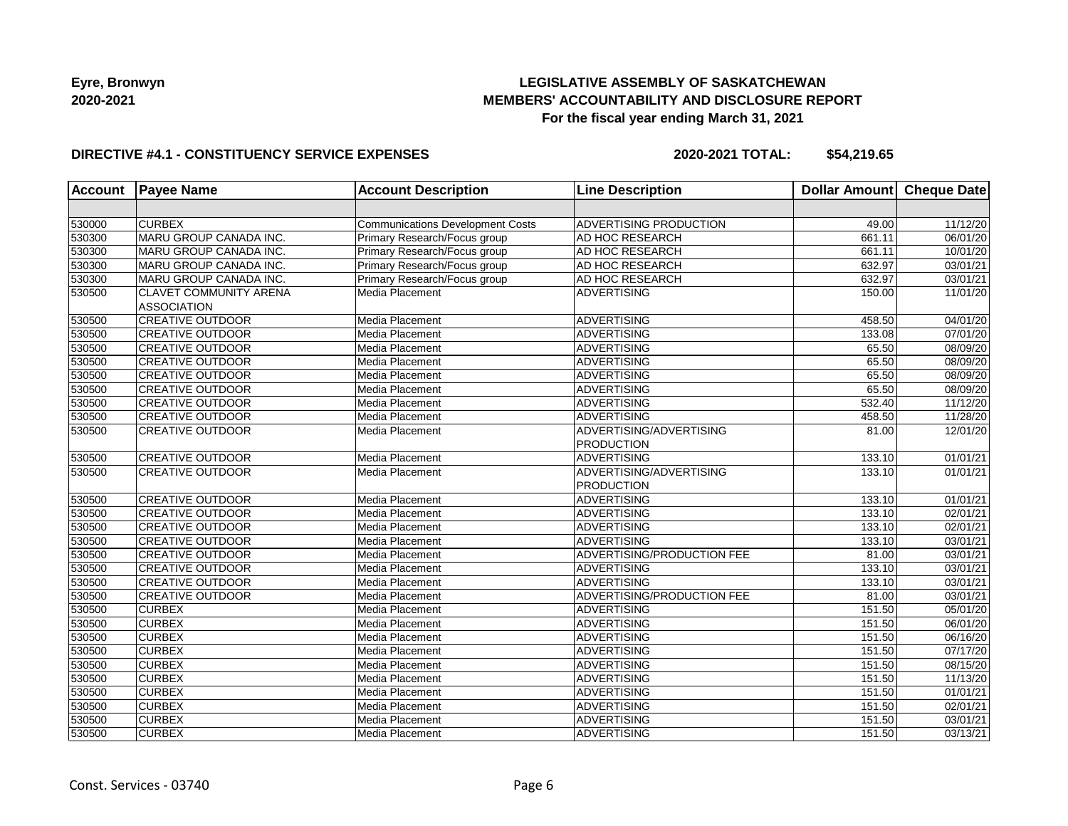

# **LEGISLATIVE ASSEMBLY OF SASKATCHEWAN MEMBERS' ACCOUNTABILITY AND DISCLOSURE REPORT For the fiscal year ending March 31, 2021**

### **DIRECTIVE #4.1 - CONSTITUENCY SERVICE EXPENSES**

| <b>Account</b> | <b>Payee Name</b>                             | <b>Account Description</b>       | <b>Line Description</b>    | <b>Dollar Amount</b> | Cheque Date |
|----------------|-----------------------------------------------|----------------------------------|----------------------------|----------------------|-------------|
|                |                                               |                                  |                            |                      |             |
| 530000         | <b>CURBEX</b>                                 | Communications Development Costs | ADVERTISING PRODUCTION     | 49.00                | 11/12/20    |
| 530300         | MARU GROUP CANADA INC.                        | Primary Research/Focus group     | AD HOC RESEARCH            | 661.11               | 06/01/20    |
| 530300         | MARU GROUP CANADA INC.                        | Primary Research/Focus group     | AD HOC RESEARCH            | 661.11               | 10/01/20    |
| 530300         | MARU GROUP CANADA INC.                        | Primary Research/Focus group     | AD HOC RESEARCH            | 632.97               | 03/01/21    |
| 530300         | MARU GROUP CANADA INC.                        | Primary Research/Focus group     | AD HOC RESEARCH            | 632.97               | 03/01/21    |
| 530500         | <b>CLAVET COMMUNITY ARENA</b>                 | Media Placement                  | <b>ADVERTISING</b>         | 150.00               | 11/01/20    |
| 530500         | <b>ASSOCIATION</b><br><b>CREATIVE OUTDOOR</b> | Media Placement                  | <b>ADVERTISING</b>         | 458.50               | 04/01/20    |
| 530500         | <b>CREATIVE OUTDOOR</b>                       | Media Placement                  | <b>ADVERTISING</b>         | 133.08               | 07/01/20    |
| 530500         | <b>CREATIVE OUTDOOR</b>                       | Media Placement                  | <b>ADVERTISING</b>         | 65.50                | 08/09/20    |
| 530500         | <b>CREATIVE OUTDOOR</b>                       | Media Placement                  | <b>ADVERTISING</b>         | 65.50                | 08/09/20    |
| 530500         | <b>CREATIVE OUTDOOR</b>                       | Media Placement                  | <b>ADVERTISING</b>         | 65.50                | 08/09/20    |
| 530500         | <b>CREATIVE OUTDOOR</b>                       | Media Placement                  | <b>ADVERTISING</b>         | 65.50                | 08/09/20    |
| 530500         | <b>CREATIVE OUTDOOR</b>                       | Media Placement                  | <b>ADVERTISING</b>         | 532.40               | 11/12/20    |
| 530500         | <b>CREATIVE OUTDOOR</b>                       | Media Placement                  | <b>ADVERTISING</b>         | 458.50               | 11/28/20    |
| 530500         | <b>CREATIVE OUTDOOR</b>                       | Media Placement                  | ADVERTISING/ADVERTISING    | 81.00                | 12/01/20    |
|                |                                               |                                  | <b>PRODUCTION</b>          |                      |             |
| 530500         | <b>CREATIVE OUTDOOR</b>                       | Media Placement                  | <b>ADVERTISING</b>         | 133.10               | 01/01/21    |
| 530500         | <b>CREATIVE OUTDOOR</b>                       | Media Placement                  | ADVERTISING/ADVERTISING    | 133.10               | 01/01/21    |
|                |                                               |                                  | <b>PRODUCTION</b>          |                      |             |
| 530500         | <b>CREATIVE OUTDOOR</b>                       | Media Placement                  | <b>ADVERTISING</b>         | 133.10               | 01/01/21    |
| 530500         | <b>CREATIVE OUTDOOR</b>                       | Media Placement                  | <b>ADVERTISING</b>         | 133.10               | 02/01/21    |
| 530500         | <b>CREATIVE OUTDOOR</b>                       | Media Placement                  | <b>ADVERTISING</b>         | 133.10               | 02/01/21    |
| 530500         | <b>CREATIVE OUTDOOR</b>                       | Media Placement                  | <b>ADVERTISING</b>         | 133.10               | 03/01/21    |
| 530500         | <b>CREATIVE OUTDOOR</b>                       | Media Placement                  | ADVERTISING/PRODUCTION FEE | 81.00                | 03/01/21    |
| 530500         | <b>CREATIVE OUTDOOR</b>                       | Media Placement                  | <b>ADVERTISING</b>         | 133.10               | 03/01/21    |
| 530500         | <b>CREATIVE OUTDOOR</b>                       | Media Placement                  | <b>ADVERTISING</b>         | 133.10               | 03/01/21    |
| 530500         | <b>CREATIVE OUTDOOR</b>                       | Media Placement                  | ADVERTISING/PRODUCTION FEE | 81.00                | 03/01/21    |
| 530500         | <b>CURBEX</b>                                 | Media Placement                  | <b>ADVERTISING</b>         | 151.50               | 05/01/20    |
| 530500         | <b>CURBEX</b>                                 | Media Placement                  | <b>ADVERTISING</b>         | 151.50               | 06/01/20    |
| 530500         | <b>CURBEX</b>                                 | Media Placement                  | <b>ADVERTISING</b>         | 151.50               | 06/16/20    |
| 530500         | <b>CURBEX</b>                                 | Media Placement                  | <b>ADVERTISING</b>         | 151.50               | 07/17/20    |
| 530500         | <b>CURBEX</b>                                 | Media Placement                  | <b>ADVERTISING</b>         | 151.50               | 08/15/20    |
| 530500         | <b>CURBEX</b>                                 | Media Placement                  | <b>ADVERTISING</b>         | 151.50               | 11/13/20    |
| 530500         | <b>CURBEX</b>                                 | Media Placement                  | <b>ADVERTISING</b>         | 151.50               | 01/01/21    |
| 530500         | <b>CURBEX</b>                                 | Media Placement                  | <b>ADVERTISING</b>         | 151.50               | 02/01/21    |
| 530500         | <b>CURBEX</b>                                 | Media Placement                  | <b>ADVERTISING</b>         | 151.50               | 03/01/21    |
| 530500         | <b>CURBEX</b>                                 | Media Placement                  | <b>ADVERTISING</b>         | 151.50               | 03/13/21    |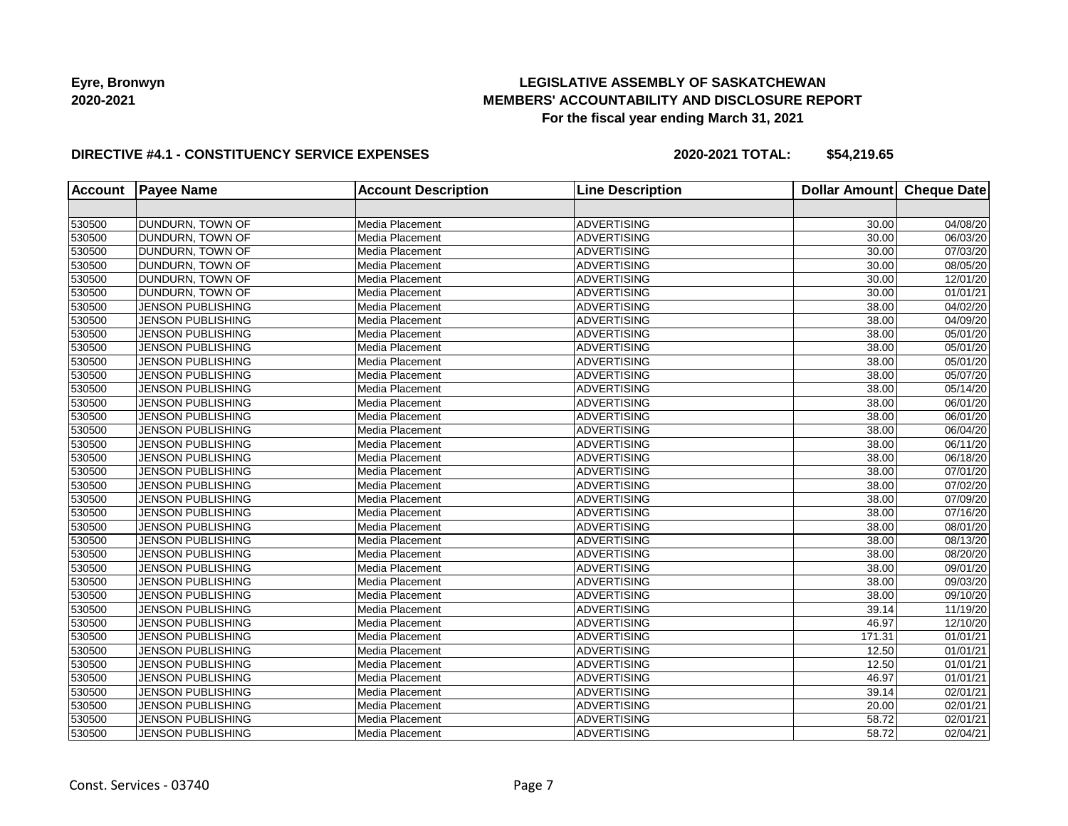# **LEGISLATIVE ASSEMBLY OF SASKATCHEWAN MEMBERS' ACCOUNTABILITY AND DISCLOSURE REPORT For the fiscal year ending March 31, 2021**

### **DIRECTIVE #4.1 - CONSTITUENCY SERVICE EXPENSES**

| Account | <b>Payee Name</b>        | <b>Account Description</b> | <b>Line Description</b> | <b>Dollar Amount</b> | <b>Cheque Date</b> |
|---------|--------------------------|----------------------------|-------------------------|----------------------|--------------------|
|         |                          |                            |                         |                      |                    |
| 530500  | DUNDURN, TOWN OF         | Media Placement            | <b>ADVERTISING</b>      | 30.00                | 04/08/20           |
| 530500  | DUNDURN, TOWN OF         | Media Placement            | <b>ADVERTISING</b>      | 30.00                | 06/03/20           |
| 530500  | DUNDURN, TOWN OF         | Media Placement            | ADVERTISING             | 30.00                | 07/03/20           |
| 530500  | <b>DUNDURN, TOWN OF</b>  | Media Placement            | ADVERTISING             | 30.00                | 08/05/20           |
| 530500  | DUNDURN, TOWN OF         | Media Placement            | ADVERTISING             | 30.00                | 12/01/20           |
| 530500  | DUNDURN, TOWN OF         | Media Placement            | <b>ADVERTISING</b>      | 30.00                | 01/01/21           |
| 530500  | <b>JENSON PUBLISHING</b> | Media Placement            | <b>ADVERTISING</b>      | 38.00                | 04/02/20           |
| 530500  | <b>JENSON PUBLISHING</b> | Media Placement            | ADVERTISING             | 38.00                | 04/09/20           |
| 530500  | <b>JENSON PUBLISHING</b> | Media Placement            | <b>ADVERTISING</b>      | 38.00                | 05/01/20           |
| 530500  | <b>JENSON PUBLISHING</b> | Media Placement            | <b>ADVERTISING</b>      | 38.00                | 05/01/20           |
| 530500  | <b>JENSON PUBLISHING</b> | Media Placement            | <b>ADVERTISING</b>      | 38.00                | 05/01/20           |
| 530500  | <b>JENSON PUBLISHING</b> | Media Placement            | <b>ADVERTISING</b>      | 38.00                | 05/07/20           |
| 530500  | <b>JENSON PUBLISHING</b> | Media Placement            | <b>ADVERTISING</b>      | 38.00                | 05/14/20           |
| 530500  | <b>JENSON PUBLISHING</b> | Media Placement            | ADVERTISING             | 38.00                | 06/01/20           |
| 530500  | <b>JENSON PUBLISHING</b> | Media Placement            | ADVERTISING             | 38.00                | 06/01/20           |
| 530500  | <b>JENSON PUBLISHING</b> | Media Placement            | ADVERTISING             | 38.00                | 06/04/20           |
| 530500  | <b>JENSON PUBLISHING</b> | Media Placement            | ADVERTISING             | 38.00                | 06/11/20           |
| 530500  | <b>JENSON PUBLISHING</b> | Media Placement            | <b>ADVERTISING</b>      | 38.00                | 06/18/20           |
| 530500  | <b>JENSON PUBLISHING</b> | Media Placement            | <b>ADVERTISING</b>      | 38.00                | 07/01/20           |
| 530500  | <b>JENSON PUBLISHING</b> | Media Placement            | <b>ADVERTISING</b>      | 38.00                | 07/02/20           |
| 530500  | <b>JENSON PUBLISHING</b> | Media Placement            | ADVERTISING             | 38.00                | 07/09/20           |
| 530500  | <b>JENSON PUBLISHING</b> | Media Placement            | <b>ADVERTISING</b>      | 38.00                | 07/16/20           |
| 530500  | JENSON PUBLISHING        | Media Placement            | <b>ADVERTISING</b>      | 38.00                | 08/01/20           |
| 530500  | <b>JENSON PUBLISHING</b> | Media Placement            | <b>ADVERTISING</b>      | 38.00                | 08/13/20           |
| 530500  | <b>JENSON PUBLISHING</b> | Media Placement            | <b>ADVERTISING</b>      | 38.00                | 08/20/20           |
| 530500  | JENSON PUBLISHING        | Media Placement            | ADVERTISING             | 38.00                | 09/01/20           |
| 530500  | <b>JENSON PUBLISHING</b> | Media Placement            | ADVERTISING             | 38.00                | 09/03/20           |
| 530500  | JENSON PUBLISHING        | Media Placement            | ADVERTISING             | 38.00                | 09/10/20           |
| 530500  | <b>JENSON PUBLISHING</b> | Media Placement            | <b>ADVERTISING</b>      | 39.14                | 11/19/20           |
| 530500  | <b>JENSON PUBLISHING</b> | Media Placement            | <b>ADVERTISING</b>      | 46.97                | 12/10/20           |
| 530500  | <b>JENSON PUBLISHING</b> | Media Placement            | <b>ADVERTISING</b>      | 171.31               | 01/01/21           |
| 530500  | <b>JENSON PUBLISHING</b> | Media Placement            | ADVERTISING             | 12.50                | 01/01/21           |
| 530500  | <b>JENSON PUBLISHING</b> | Media Placement            | ADVERTISING             | 12.50                | 01/01/21           |
| 530500  | <b>JENSON PUBLISHING</b> | Media Placement            | ADVERTISING             | 46.97                | 01/01/21           |
| 530500  | <b>JENSON PUBLISHING</b> | Media Placement            | <b>ADVERTISING</b>      | 39.14                | 02/01/21           |
| 530500  | JENSON PUBLISHING        | Media Placement            | <b>ADVERTISING</b>      | 20.00                | 02/01/21           |
| 530500  | <b>JENSON PUBLISHING</b> | Media Placement            | <b>ADVERTISING</b>      | 58.72                | 02/01/21           |
| 530500  | <b>JENSON PUBLISHING</b> | Media Placement            | ADVERTISING             | 58.72                | 02/04/21           |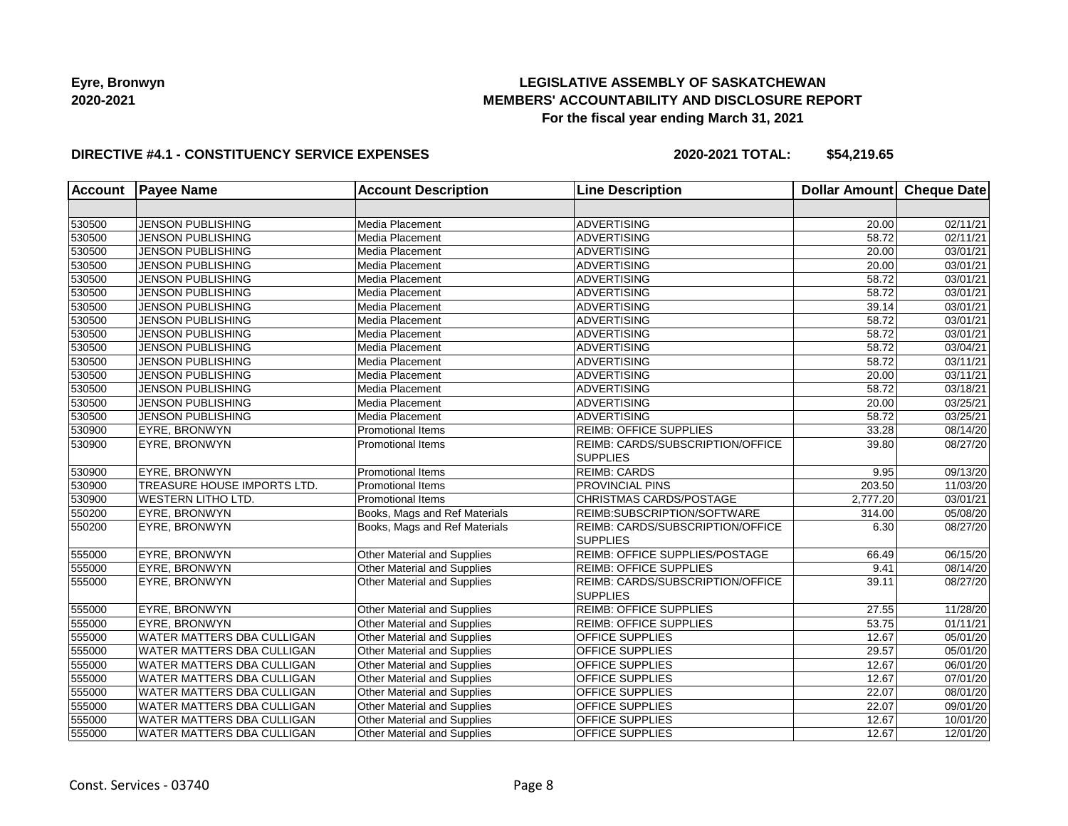# **LEGISLATIVE ASSEMBLY OF SASKATCHEWAN MEMBERS' ACCOUNTABILITY AND DISCLOSURE REPORT For the fiscal year ending March 31, 2021**

### **DIRECTIVE #4.1 - CONSTITUENCY SERVICE EXPENSES**

| <b>Account</b> | <b>Payee Name</b>                 | <b>Account Description</b>    | <b>Line Description</b>                                    | Dollar Amount | <b>Cheque Date</b>    |
|----------------|-----------------------------------|-------------------------------|------------------------------------------------------------|---------------|-----------------------|
|                |                                   |                               |                                                            |               |                       |
| 530500         | JENSON PUBLISHING                 | Media Placement               | <b>ADVERTISING</b>                                         | 20.00         | 02/11/21              |
| 530500         | <b>JENSON PUBLISHING</b>          | Media Placement               | <b>ADVERTISING</b>                                         | 58.72         | $\overline{02/1}1/21$ |
| 530500         | <b>JENSON PUBLISHING</b>          | Media Placement               | <b>ADVERTISING</b>                                         | 20.00         | 03/01/21              |
| 530500         | <b>JENSON PUBLISHING</b>          | Media Placement               | <b>ADVERTISING</b>                                         | 20.00         | 03/01/21              |
| 530500         | JENSON PUBLISHING                 | Media Placement               | ADVERTISING                                                | 58.72         | 03/01/21              |
| 530500         | JENSON PUBLISHING                 | Media Placement               | <b>ADVERTISING</b>                                         | 58.72         | 03/01/21              |
| 530500         | <b>JENSON PUBLISHING</b>          | Media Placement               | <b>ADVERTISING</b>                                         | 39.14         | 03/01/21              |
| 530500         | <b>JENSON PUBLISHING</b>          | Media Placement               | <b>ADVERTISING</b>                                         | 58.72         | 03/01/21              |
| 530500         | <b>JENSON PUBLISHING</b>          | Media Placement               | <b>ADVERTISING</b>                                         | 58.72         | 03/01/21              |
| 530500         | <b>JENSON PUBLISHING</b>          | Media Placement               | <b>ADVERTISING</b>                                         | 58.72         | 03/04/21              |
| 530500         | <b>JENSON PUBLISHING</b>          | Media Placement               | <b>ADVERTISING</b>                                         | 58.72         | 03/11/21              |
| 530500         | <b>JENSON PUBLISHING</b>          | Media Placement               | <b>ADVERTISING</b>                                         | 20.00         | 03/11/21              |
| 530500         | <b>JENSON PUBLISHING</b>          | Media Placement               | <b>ADVERTISING</b>                                         | 58.72         | 03/18/21              |
| 530500         | <b>JENSON PUBLISHING</b>          | Media Placement               | <b>ADVERTISING</b>                                         | 20.00         | 03/25/21              |
| 530500         | <b>JENSON PUBLISHING</b>          | Media Placement               | <b>ADVERTISING</b>                                         | 58.72         | 03/25/21              |
| 530900         | <b>EYRE, BRONWYN</b>              | Promotional Items             | <b>REIMB: OFFICE SUPPLIES</b>                              | 33.28         | 08/14/20              |
| 530900         | EYRE, BRONWYN                     | <b>Promotional Items</b>      | REIMB: CARDS/SUBSCRIPTION/OFFICE<br><b>SUPPLIES</b>        | 39.80         | 08/27/20              |
| 530900         | EYRE, BRONWYN                     | Promotional Items             | <b>REIMB: CARDS</b>                                        | 9.95          | 09/13/20              |
| 530900         | TREASURE HOUSE IMPORTS LTD.       | <b>Promotional Items</b>      | PROVINCIAL PINS                                            | 203.50        | 11/03/20              |
| 530900         | <b>WESTERN LITHO LTD.</b>         | <b>Promotional Items</b>      | <b>CHRISTMAS CARDS/POSTAGE</b>                             | 2,777.20      | 03/01/21              |
| 550200         | EYRE, BRONWYN                     | Books, Mags and Ref Materials | REIMB:SUBSCRIPTION/SOFTWARE                                | 314.00        | 05/08/20              |
| 550200         | EYRE, BRONWYN                     | Books, Mags and Ref Materials | REIMB: CARDS/SUBSCRIPTION/OFFICE<br><b>SUPPLIES</b>        | 6.30          | 08/27/20              |
| 555000         | EYRE, BRONWYN                     | Other Material and Supplies   | REIMB: OFFICE SUPPLIES/POSTAGE                             | 66.49         | 06/15/20              |
| 555000         | EYRE, BRONWYN                     | Other Material and Supplies   | REIMB: OFFICE SUPPLIES                                     | 9.41          | 08/14/20              |
| 555000         | EYRE, BRONWYN                     | Other Material and Supplies   | <b>REIMB: CARDS/SUBSCRIPTION/OFFICE</b><br><b>SUPPLIES</b> | 39.11         | 08/27/20              |
| 555000         | <b>EYRE, BRONWYN</b>              | Other Material and Supplies   | <b>REIMB: OFFICE SUPPLIES</b>                              | 27.55         | 11/28/20              |
| 555000         | EYRE, BRONWYN                     | Other Material and Supplies   | <b>REIMB: OFFICE SUPPLIES</b>                              | 53.75         | 01/11/21              |
| 555000         | WATER MATTERS DBA CULLIGAN        | Other Material and Supplies   | OFFICE SUPPLIES                                            | 12.67         | 05/01/20              |
| 555000         | <b>WATER MATTERS DBA CULLIGAN</b> | Other Material and Supplies   | OFFICE SUPPLIES                                            | 29.57         | 05/01/20              |
| 555000         | <b>WATER MATTERS DBA CULLIGAN</b> | Other Material and Supplies   | OFFICE SUPPLIES                                            | 12.67         | 06/01/20              |
| 555000         | <b>WATER MATTERS DBA CULLIGAN</b> | Other Material and Supplies   | OFFICE SUPPLIES                                            | 12.67         | 07/01/20              |
| 555000         | WATER MATTERS DBA CULLIGAN        | Other Material and Supplies   | OFFICE SUPPLIES                                            | 22.07         | 08/01/20              |
| 555000         | WATER MATTERS DBA CULLIGAN        | Other Material and Supplies   | OFFICE SUPPLIES                                            | 22.07         | 09/01/20              |
| 555000         | WATER MATTERS DBA CULLIGAN        | Other Material and Supplies   | OFFICE SUPPLIES                                            | 12.67         | 10/01/20              |
| 555000         | <b>WATER MATTERS DBA CULLIGAN</b> | Other Material and Supplies   | OFFICE SUPPLIES                                            | 12.67         | 12/01/20              |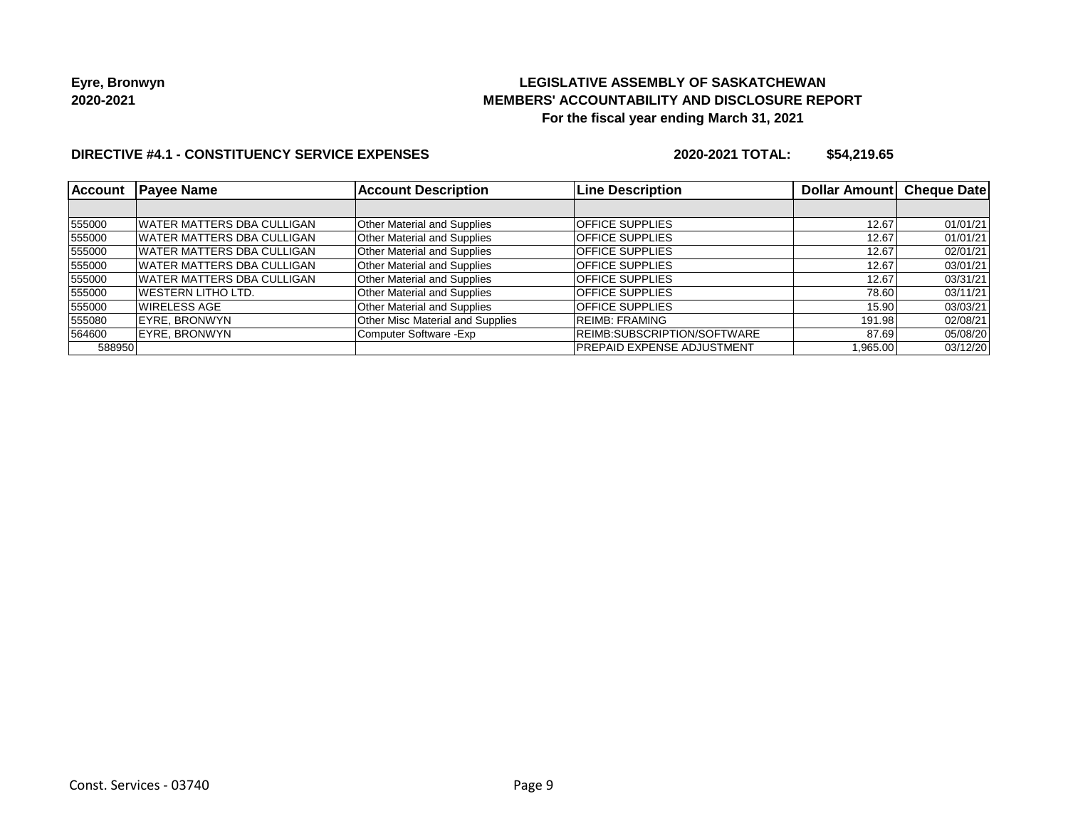# **LEGISLATIVE ASSEMBLY OF SASKATCHEWAN MEMBERS' ACCOUNTABILITY AND DISCLOSURE REPORT For the fiscal year ending March 31, 2021**

## **DIRECTIVE #4.1 - CONSTITUENCY SERVICE EXPENSES**

| <b>Account</b> | <b>Payee Name</b>                 | <b>Account Description</b>         | <b>Line Description</b>     | Dollar Amount Cheque Date |          |
|----------------|-----------------------------------|------------------------------------|-----------------------------|---------------------------|----------|
|                |                                   |                                    |                             |                           |          |
| 555000         | WATER MATTERS DBA CULLIGAN        | <b>Other Material and Supplies</b> | <b>OFFICE SUPPLIES</b>      | 12.67                     | 01/01/21 |
| 555000         | WATER MATTERS DBA CULLIGAN        | <b>Other Material and Supplies</b> | <b>OFFICE SUPPLIES</b>      | 12.67                     | 01/01/21 |
| 555000         | IWATER MATTERS DBA CULLIGAN       | <b>Other Material and Supplies</b> | <b>OFFICE SUPPLIES</b>      | 12.67                     | 02/01/21 |
| 555000         | WATER MATTERS DBA CULLIGAN        | Other Material and Supplies        | <b>OFFICE SUPPLIES</b>      | 12.67                     | 03/01/21 |
| 555000         | <b>WATER MATTERS DBA CULLIGAN</b> | <b>Other Material and Supplies</b> | <b>OFFICE SUPPLIES</b>      | 12.67                     | 03/31/21 |
| 555000         | IWESTERN LITHO LTD.               | <b>Other Material and Supplies</b> | <b>OFFICE SUPPLIES</b>      | 78.60                     | 03/11/21 |
| 555000         | IWIRELESS AGE                     | Other Material and Supplies        | <b>OFFICE SUPPLIES</b>      | 15.90                     | 03/03/21 |
| 555080         | EYRE. BRONWYN                     | Other Misc Material and Supplies   | <b>REIMB: FRAMING</b>       | 191.98                    | 02/08/21 |
| 564600         | EYRE, BRONWYN                     | Computer Software - Exp            | REIMB:SUBSCRIPTION/SOFTWARE | 87.69                     | 05/08/20 |
| 588950         |                                   |                                    | IPREPAID EXPENSE ADJUSTMENT | 1,965.00                  | 03/12/20 |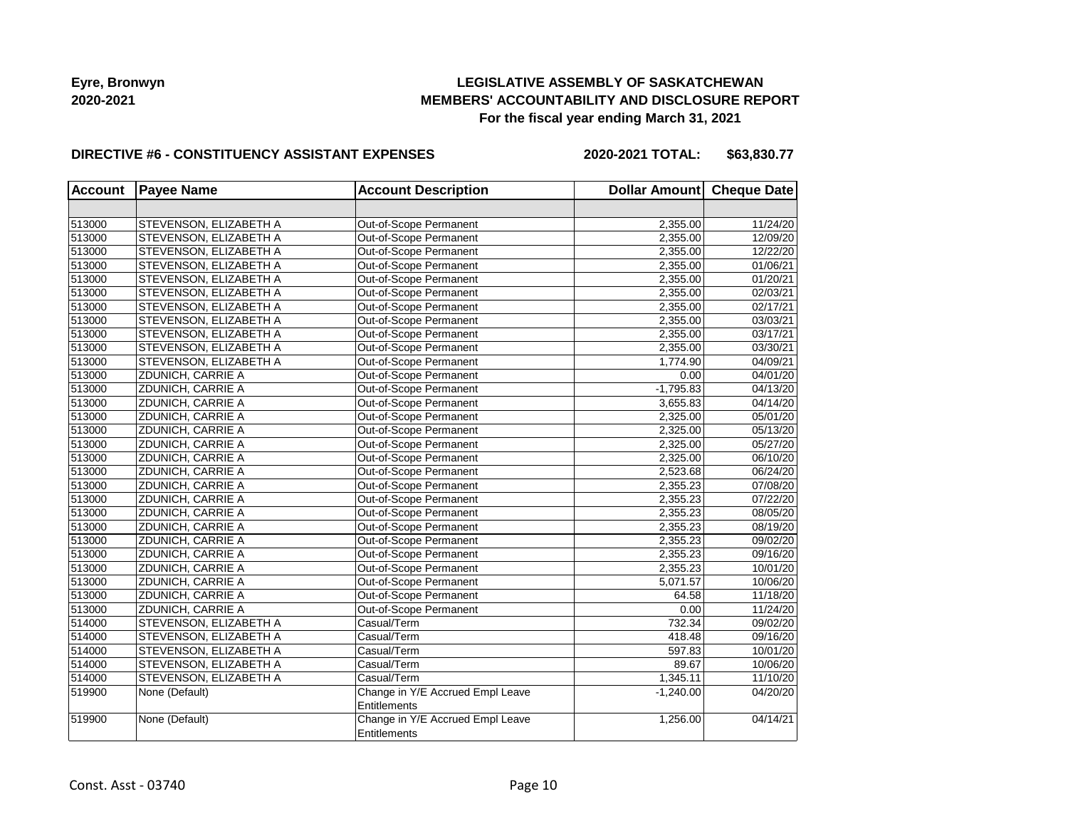## **LEGISLATIVE ASSEMBLY OF SASKATCHEWAN MEMBERS' ACCOUNTABILITY AND DISCLOSURE REPORT For the fiscal year ending March 31, 2021**

#### **DIRECTIVE #6 - CONSTITUENCY ASSISTANT EXPENSES**

**2020-2021 TOTAL: \$63,830.77**

| <b>Account</b> | <b>Payee Name</b>      | <b>Account Description</b>       | Dollar Amount Cheque Date |          |
|----------------|------------------------|----------------------------------|---------------------------|----------|
|                |                        |                                  |                           |          |
| 513000         | STEVENSON, ELIZABETH A | Out-of-Scope Permanent           | 2,355.00                  | 11/24/20 |
| 513000         | STEVENSON, ELIZABETH A | Out-of-Scope Permanent           | 2,355.00                  | 12/09/20 |
| 513000         | STEVENSON, ELIZABETH A | Out-of-Scope Permanent           | 2,355.00                  | 12/22/20 |
| 513000         | STEVENSON, ELIZABETH A | Out-of-Scope Permanent           | 2,355.00                  | 01/06/21 |
| 513000         | STEVENSON, ELIZABETH A | Out-of-Scope Permanent           | 2,355.00                  | 01/20/21 |
| 513000         | STEVENSON, ELIZABETH A | Out-of-Scope Permanent           | 2,355.00                  | 02/03/21 |
| 513000         | STEVENSON, ELIZABETH A | Out-of-Scope Permanent           | 2,355.00                  | 02/17/21 |
| 513000         | STEVENSON, ELIZABETH A | Out-of-Scope Permanent           | 2,355.00                  | 03/03/21 |
| 513000         | STEVENSON, ELIZABETH A | Out-of-Scope Permanent           | 2,355.00                  | 03/17/21 |
| 513000         | STEVENSON, ELIZABETH A | Out-of-Scope Permanent           | 2,355.00                  | 03/30/21 |
| 513000         | STEVENSON, ELIZABETH A | Out-of-Scope Permanent           | 1,774.90                  | 04/09/21 |
| 513000         | ZDUNICH, CARRIE A      | Out-of-Scope Permanent           | 0.00                      | 04/01/20 |
| 513000         | ZDUNICH, CARRIE A      | Out-of-Scope Permanent           | $-1,795.83$               | 04/13/20 |
| 513000         | ZDUNICH, CARRIE A      | Out-of-Scope Permanent           | 3,655.83                  | 04/14/20 |
| 513000         | ZDUNICH, CARRIE A      | Out-of-Scope Permanent           | 2,325.00                  | 05/01/20 |
| 513000         | ZDUNICH, CARRIE A      | Out-of-Scope Permanent           | 2,325.00                  | 05/13/20 |
| 513000         | ZDUNICH, CARRIE A      | Out-of-Scope Permanent           | 2,325.00                  | 05/27/20 |
| 513000         | ZDUNICH, CARRIE A      | Out-of-Scope Permanent           | 2,325.00                  | 06/10/20 |
| 513000         | ZDUNICH, CARRIE A      | Out-of-Scope Permanent           | 2,523.68                  | 06/24/20 |
| 513000         | ZDUNICH, CARRIE A      | Out-of-Scope Permanent           | 2,355.23                  | 07/08/20 |
| 513000         | ZDUNICH, CARRIE A      | Out-of-Scope Permanent           | 2,355.23                  | 07/22/20 |
| 513000         | ZDUNICH, CARRIE A      | Out-of-Scope Permanent           | 2,355.23                  | 08/05/20 |
| 513000         | ZDUNICH, CARRIE A      | Out-of-Scope Permanent           | 2,355.23                  | 08/19/20 |
| 513000         | ZDUNICH, CARRIE A      | Out-of-Scope Permanent           | 2,355.23                  | 09/02/20 |
| 513000         | ZDUNICH, CARRIE A      | Out-of-Scope Permanent           | 2,355.23                  | 09/16/20 |
| 513000         | ZDUNICH, CARRIE A      | Out-of-Scope Permanent           | 2,355.23                  | 10/01/20 |
| 513000         | ZDUNICH, CARRIE A      | Out-of-Scope Permanent           | 5,071.57                  | 10/06/20 |
| 513000         | ZDUNICH, CARRIE A      | Out-of-Scope Permanent           | 64.58                     | 11/18/20 |
| 513000         | ZDUNICH, CARRIE A      | Out-of-Scope Permanent           | 0.00                      | 11/24/20 |
| 514000         | STEVENSON, ELIZABETH A | Casual/Term                      | 732.34                    | 09/02/20 |
| 514000         | STEVENSON, ELIZABETH A | Casual/Term                      | 418.48                    | 09/16/20 |
| 514000         | STEVENSON, ELIZABETH A | Casual/Term                      | 597.83                    | 10/01/20 |
| 514000         | STEVENSON, ELIZABETH A | Casual/Term                      | 89.67                     | 10/06/20 |
| 514000         | STEVENSON, ELIZABETH A | Casual/Term                      | 1,345.11                  | 11/10/20 |
| 519900         | None (Default)         | Change in Y/E Accrued Empl Leave | $-1,240.00$               | 04/20/20 |
|                |                        | Entitlements                     |                           |          |
| 519900         | None (Default)         | Change in Y/E Accrued Empl Leave | 1,256.00                  | 04/14/21 |
|                |                        | Entitlements                     |                           |          |